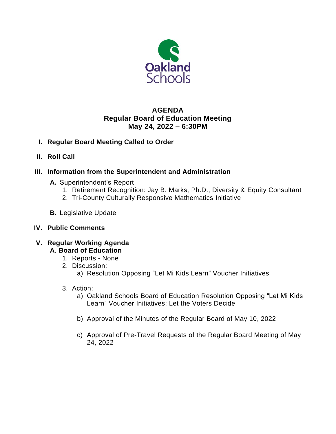

# **AGENDA Regular Board of Education Meeting May 24, 2022 – 6:30PM**

# **I. Regular Board Meeting Called to Order**

**II. Roll Call**

## **III. Information from the Superintendent and Administration**

- **A.** Superintendent's Report
	- 1. Retirement Recognition: Jay B. Marks, Ph.D., Diversity & Equity Consultant
	- 2. Tri-County Culturally Responsive Mathematics Initiative
- **B.** Legislative Update

### **IV. Public Comments**

#### **V. Regular Working Agenda A**. **Board of Education**

- 1. Reports None
- 2. Discussion:
	- a) Resolution Opposing "Let Mi Kids Learn" Voucher Initiatives
- 3. Action:
	- a) Oakland Schools Board of Education Resolution Opposing "Let Mi Kids Learn" Voucher Initiatives: Let the Voters Decide
	- b) Approval of the Minutes of the Regular Board of May 10, 2022
	- c) Approval of Pre-Travel Requests of the Regular Board Meeting of May 24, 2022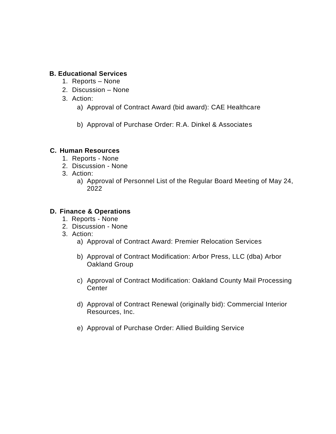### **B. Educational Services**

- 1. Reports None
- 2. Discussion None
- 3. Action:
	- a) Approval of Contract Award (bid award): CAE Healthcare
	- b) Approval of Purchase Order: R.A. Dinkel & Associates

### **C. Human Resources**

- 1. Reports None
- 2. Discussion None
- 3. Action:
	- a) Approval of Personnel List of the Regular Board Meeting of May 24, 2022

### **D. Finance & Operations**

- 1. Reports None
- 2. Discussion None
- 3. Action:
	- a) Approval of Contract Award: Premier Relocation Services
	- b) Approval of Contract Modification: Arbor Press, LLC (dba) Arbor Oakland Group
	- c) Approval of Contract Modification: Oakland County Mail Processing **Center**
	- d) Approval of Contract Renewal (originally bid): Commercial Interior Resources, Inc.
	- e) Approval of Purchase Order: Allied Building Service